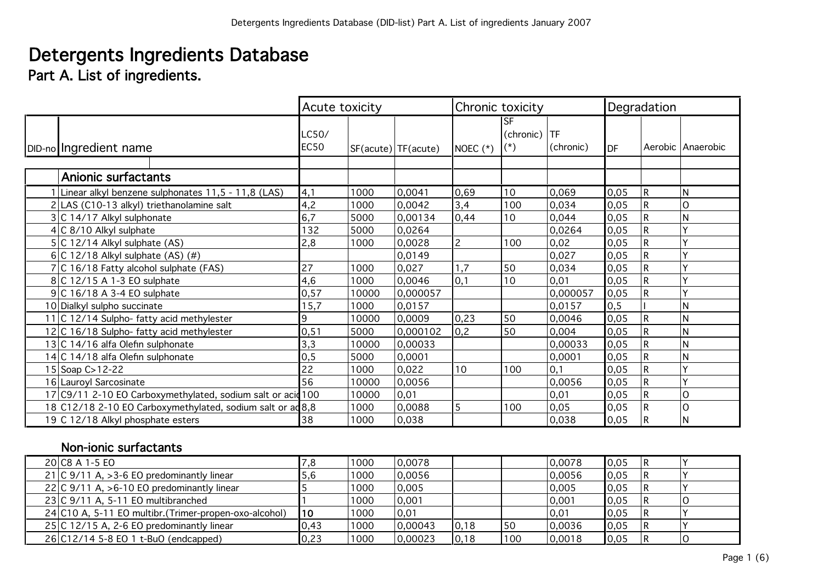# Detergents Ingredients Database

Part A. List of ingredients.

|                                                             | Acute toxicity       |       |                         | Chronic toxicity |                                |                        | Degradation |   |                   |
|-------------------------------------------------------------|----------------------|-------|-------------------------|------------------|--------------------------------|------------------------|-------------|---|-------------------|
| DID-no Ingredient name                                      | LC50/<br><b>EC50</b> |       | $SF(acute)$ $TF(acute)$ | NOEC $(*)$       | lSF.<br>(chronic)<br>$(\star)$ | <b>TF</b><br>(chronic) | <b>IDF</b>  |   | Aerobic Anaerobic |
|                                                             |                      |       |                         |                  |                                |                        |             |   |                   |
| <b>Anionic surfactants</b>                                  |                      |       |                         |                  |                                |                        |             |   |                   |
| Linear alkyl benzene sulphonates 11,5 - 11,8 (LAS)          | 4,1                  | 1000  | 0,0041                  | 0,69             | 10                             | 0,069                  | 0,05        | R | N                 |
| 2 LAS (C10-13 alkyl) triethanolamine salt                   | 4,2                  | 1000  | 0,0042                  | 3,4              | 100                            | 0,034                  | 0,05        |   | O                 |
| 3 C 14/17 Alkyl sulphonate                                  | 6,7                  | 5000  | 0,00134                 | 0,44             | 10                             | 0,044                  | 0,05        |   | N                 |
| 4 C 8/10 Alkyl sulphate                                     | 132                  | 5000  | 0,0264                  |                  |                                | 0,0264                 | 0,05        |   |                   |
| $5 C12/14$ Alkyl sulphate (AS)                              | 2,8                  | 1000  | 0,0028                  | $\overline{c}$   | 100                            | 0,02                   | 0,05        | R |                   |
| 6 C 12/18 Alkyl sulphate $(AS)$ (#)                         |                      |       | 0,0149                  |                  |                                | 0,027                  | 0,05        |   |                   |
| 7 C 16/18 Fatty alcohol sulphate (FAS)                      | 27                   | 1000  | 0,027                   | 1,7              | 50                             | 0,034                  | 0,05        | R |                   |
| 8 C 12/15 A 1-3 EO sulphate                                 | 4,6                  | 1000  | 0,0046                  | 0,1              | 10                             | 0,01                   | 0,05        |   |                   |
| $9$ C 16/18 A 3-4 EO sulphate                               | 0,57                 | 10000 | 0,000057                |                  |                                | 0,000057               | 0,05        |   |                   |
| 10 Dialkyl sulpho succinate                                 | 15,7                 | 1000  | 0,0157                  |                  |                                | 0,0157                 | 0, 5        |   | N                 |
| 11 C 12/14 Sulpho- fatty acid methylester                   | 9                    | 10000 | 0,0009                  | 0,23             | 50                             | 0,0046                 | 0,05        | R | N                 |
| 12 C 16/18 Sulpho- fatty acid methylester                   | 0, 51                | 5000  | 0,000102                | 0,2              | 50                             | 0,004                  | 0,05        |   | N                 |
| 13 C 14/16 alfa Olefin sulphonate                           | 3,3                  | 10000 | 0,00033                 |                  |                                | 0,00033                | 0,05        |   | N                 |
| 14 C 14/18 alfa Olefin sulphonate                           | 0, 5                 | 5000  | 0,0001                  |                  |                                | 0,0001                 | 0,05        |   | N                 |
| 15 Soap C>12-22                                             | 22                   | 1000  | 0,022                   | 10               | 100                            | 0,1                    | 0,05        |   |                   |
| 16 Lauroyl Sarcosinate                                      | 56                   | 10000 | 0,0056                  |                  |                                | 0,0056                 | 0,05        |   |                   |
| 17 C9/11 2-10 EO Carboxymethylated, sodium salt or acid 100 |                      | 10000 | 0,01                    |                  |                                | 0,01                   | 0,05        |   | O                 |
| 18 C12/18 2-10 EO Carboxymethylated, sodium salt or ad 8,8  |                      | 1000  | 0,0088                  | 5                | 100                            | 0,05                   | 0,05        |   | O                 |
| 19 C 12/18 Alkyl phosphate esters                           | 38                   | 1000  | 0,038                   |                  |                                | 0,038                  | 0,05        | R | N                 |

## Non-ionic surfactants

| 20 C8 A 1-5 EO                                         |      | 1000 | 0.0078  |      |     | 0,0078 | 0,05 |  |
|--------------------------------------------------------|------|------|---------|------|-----|--------|------|--|
| 21 C $9/11$ A, > 3-6 EO predominantly linear           |      | 1000 | 0.0056  |      |     | 0,0056 | 0,05 |  |
| 22 C 9/11 A, $>6-10$ EO predominantly linear           |      | 1000 | 0,005   |      |     | 0,005  | 0.05 |  |
| $23 C\,9/11\,A, 5-11\,EO$ multibranched                |      | 1000 | 0,001   |      |     | 0,001  | 0,05 |  |
| 24 C10 A, 5-11 EO multibr. (Trimer-propen-oxo-alcohol) | 10   | 1000 | 0,01    |      |     | 0,01   | 0,05 |  |
| $25 C12/15$ A, 2-6 EO predominantly linear             | 0,43 | 1000 | 0,00043 | 0,18 | 50  | 0,0036 | 0,05 |  |
| $26 C12/145-8 E01t$ -BuO (endcapped)                   | 0,23 | 1000 | 0,00023 | 0,18 | 100 | 0,0018 | 0,05 |  |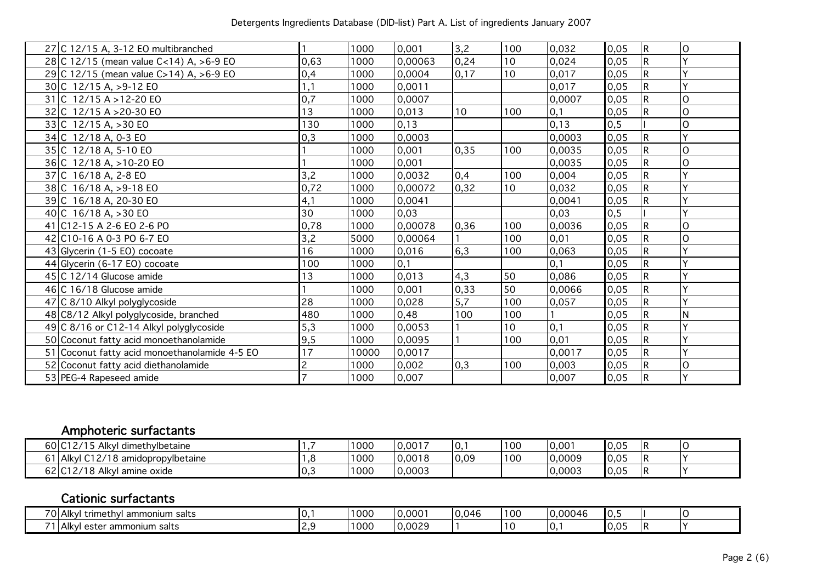| 27 C 12/15 A, 3-12 EO multibranched           |      | 1000  | 0,001   | 3,2  | 100 | 0,032  | 0,05 | R            | 0            |
|-----------------------------------------------|------|-------|---------|------|-----|--------|------|--------------|--------------|
| 28 C 12/15 (mean value C<14) A, >6-9 EO       | 0,63 | 1000  | 0,00063 | 0,24 | 10  | 0,024  | 0,05 | $\mathsf{R}$ | $\checkmark$ |
| 29 C 12/15 (mean value C>14) A, >6-9 EO       | 0,4  | 1000  | 0,0004  | 0,17 | 10  | 0,017  | 0,05 | $\mathsf{R}$ |              |
| $30 C$ 12/15 A, >9-12 EO                      |      | 1000  | 0,0011  |      |     | 0,017  | 0,05 | R            |              |
| $31 C$ 12/15 A > 12-20 EO                     | 0,7  | 1000  | 0,0007  |      |     | 0,0007 | 0,05 |              | 0            |
| 32 C 12/15 A > 20-30 EO                       | 13   | 1000  | 0,013   | 10   | 100 | 0,1    | 0,05 |              | 0            |
| $33 C$ 12/15 A, >30 EO                        | 130  | 1000  | 0,13    |      |     | 0,13   | 0, 5 |              | O            |
| 34 C 12/18 A, 0-3 EO                          | 0,3  | 1000  | 0,0003  |      |     | 0,0003 | 0,05 |              |              |
| 35 C 12/18 A, 5-10 EO                         |      | 1000  | 0,001   | 0,35 | 100 | 0,0035 | 0,05 |              | 0            |
| 36 C 12/18 A, > 10-20 EO                      |      | 1000  | 0,001   |      |     | 0,0035 | 0,05 |              | O            |
| 37 C 16/18 A, 2-8 EO                          | 3,2  | 1000  | 0,0032  | 0,4  | 100 | 0,004  | 0,05 | R            |              |
| 38 C 16/18 A, > 9-18 EO                       | 0,72 | 1000  | 0,00072 | 0,32 | 10  | 0,032  | 0,05 |              |              |
| 39 C 16/18 A, 20-30 EO                        | 4,1  | 1000  | 0,0041  |      |     | 0,0041 | 0,05 |              |              |
| 40 C $16/18$ A, $>30$ EO                      | 30   | 1000  | 0,03    |      |     | 0,03   | 0, 5 |              |              |
| 41 C12-15 A 2-6 EO 2-6 PO                     | 0,78 | 1000  | 0,00078 | 0,36 | 100 | 0,0036 | 0,05 | R            | 0            |
| 42 C10-16 A 0-3 PO 6-7 EO                     | 3,2  | 5000  | 0,00064 |      | 100 | 0,01   | 0,05 |              | 0            |
| 43 Glycerin (1-5 EO) cocoate                  | 16   | 1000  | 0,016   | 6,3  | 100 | 0,063  | 0,05 |              |              |
| 44 Glycerin (6-17 EO) cocoate                 | 100  | 1000  | 0,1     |      |     | 0,1    | 0,05 | R            | v            |
| 45 C 12/14 Glucose amide                      | 13   | 1000  | 0,013   | 4,3  | 50  | 0,086  | 0,05 |              |              |
| 46 C 16/18 Glucose amide                      |      | 1000  | 0,001   | 0,33 | 50  | 0,0066 | 0,05 |              |              |
| 47 C 8/10 Alkyl polyglycoside                 | 28   | 1000  | 0,028   | 5,7  | 100 | 0,057  | 0,05 |              |              |
| 48 C8/12 Alkyl polyglycoside, branched        | 480  | 1000  | 0,48    | 100  | 100 |        | 0,05 |              | N            |
| 49 C 8/16 or C12-14 Alkyl polyglycoside       | 5,3  | 1000  | 0,0053  |      | 10  | 0,1    | 0,05 |              |              |
| 50 Coconut fatty acid monoethanolamide        | 9,5  | 1000  | 0,0095  |      | 100 | 0,01   | 0,05 |              |              |
| 51 Coconut fatty acid monoethanolamide 4-5 EO | 17   | 10000 | 0,0017  |      |     | 0,0017 | 0,05 | R            |              |
| 52 Coconut fatty acid diethanolamide          | 2    | 1000  | 0,002   | 0,3  | 100 | 0,003  | 0,05 | R            | 0            |
| 53 PEG-4 Rapeseed amide                       |      | 1000  | 0,007   |      |     | 0,007  | 0,05 |              |              |

## Amphoteric surfactants

| 60 C12/15 Alkyl<br>dimethylbetaine                        |     | 1000 | 0,0017 | $\overline{\mathsf{I}}$ 0, | 100 | $ 0,00^{\circ} $ | 0,05 |  |
|-----------------------------------------------------------|-----|------|--------|----------------------------|-----|------------------|------|--|
| $\sim$ $\sim$ $\sim$<br>1 Alkyl C12/18 amidopropylbetaine |     | 1000 | 0,0018 | 0,09                       | 100 | 0,0009           | 0,05 |  |
| 62 C12/18 Alkyl amine oxide                               | יט. | 1000 | 0,0003 |                            |     | 0,0003           | 0,05 |  |

## Cationic surfactants

| $\overline{\phantom{a}}$<br>`trimethyl .<br>'l ammonium salts<br>⊤AlkV!                                       | u. | 1000 | 0,000  | 046<br>$\overline{0}$ . | 10C | ,0004F | $-10.$                    |   |  |
|---------------------------------------------------------------------------------------------------------------|----|------|--------|-------------------------|-----|--------|---------------------------|---|--|
| $\rightarrow$ $\rightarrow$<br>$\ddot{\phantom{a}}$<br>ammonium salts :<br>ester<br>l Alkvi<br>$\overline{ }$ |    | 000  | 0,0029 |                         |     | U.     | $\sim$ $-$<br>I (<br>v.v. | B |  |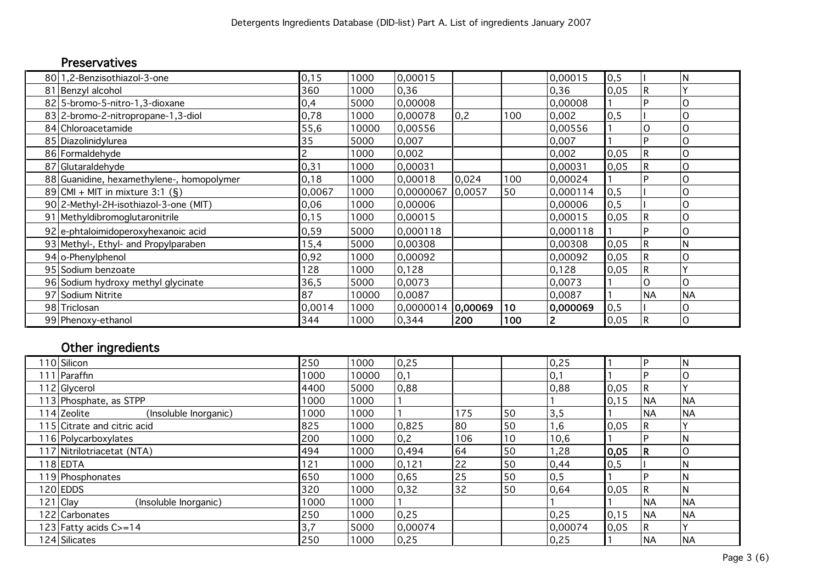## Preservatives

| 80 1,2-Benzisothiazol-3-one               | 0,15   | 1000  | 0,00015   |         |     | 0,00015      | 0, 5 |           | ΙN        |
|-------------------------------------------|--------|-------|-----------|---------|-----|--------------|------|-----------|-----------|
| 81 Benzyl alcohol                         | 360    | 1000  | 0,36      |         |     | 0,36         | 0,05 | R         |           |
| 82 5-bromo-5-nitro-1,3-dioxane            | 0,4    | 5000  | 0,00008   |         |     | 0,00008      |      |           | O         |
| 83 2-bromo-2-nitropropane-1, 3-diol       | 0,78   | 1000  | 0,00078   | 0,2     | 100 | 0,002        | 0, 5 |           | O         |
| 84 Chloroacetamide                        | 55,6   | 10000 | 0,00556   |         |     | 0,00556      |      |           |           |
| 85 Diazolinidylurea                       | 35     | 5000  | 0,007     |         |     | 0,007        |      |           | Ο         |
| 86 Formaldehyde                           |        | 1000  | 0,002     |         |     | 0,002        | 0,05 | R         | O         |
| 87 Glutaraldehyde                         | 0,31   | 1000  | 0,00031   |         |     | 0,00031      | 0,05 |           | O         |
| 88 Guanidine, hexamethylene-, homopolymer | 0,18   | 1000  | 0,00018   | 0,024   | 100 | 0,00024      |      |           | O         |
| 89 CMI + MIT in mixture 3:1 $(S)$         | 0,0067 | 1000  | 0,0000067 | 0,0057  | 50  | 0,000114     | 0, 5 |           | Ω         |
| 90 2-Methyl-2H-isothiazol-3-one (MIT)     | 0,06   | 1000  | 0,00006   |         |     | 0,00006      | 0, 5 |           | O         |
| 91 Methyldibromoglutaronitrile            | 0,15   | 1000  | 0,00015   |         |     | 0,00015      | 0,05 |           | O         |
| 92 e-phtaloimidoperoxyhexanoic acid       | 0,59   | 5000  | 0,000118  |         |     | 0,000118     |      |           | Ω         |
| 93 Methyl-, Ethyl- and Propylparaben      | 15,4   | 5000  | 0,00308   |         |     | 0,00308      | 0,05 | R         | ΙN        |
| 94 o-Phenylphenol                         | 0,92   | 1000  | 0,00092   |         |     | 0,00092      | 0,05 |           | O         |
| 95 Sodium benzoate                        | 128    | 1000  | 0,128     |         |     | 0,128        | 0,05 | R         |           |
| 96 Sodium hydroxy methyl glycinate        | 36,5   | 5000  | 0,0073    |         |     | 0,0073       |      | Ω         | O         |
| 97 Sodium Nitrite                         | 87     | 10000 | 0,0087    |         |     | 0,0087       |      | <b>NA</b> | <b>NA</b> |
| 98 Triclosan                              | 0,0014 | 1000  | 0,0000014 | 0,00069 | 10  | 0,000069     | 0, 5 |           | O         |
| 99 Phenoxy-ethanol                        | 344    | 1000  | 0,344     | 200     | 100 | $\mathbf{2}$ | 0,05 |           | 0         |

## Other ingredients

| 10 Silicon                           | 250  | 1000  | 0,25          |     |    | 0,25    |       |           |           |
|--------------------------------------|------|-------|---------------|-----|----|---------|-------|-----------|-----------|
| l 11   Paraffin                      | 1000 | 10000 | 0,1           |     |    | 0,1     |       |           |           |
| 112 Glycerol                         | 4400 | 5000  | 0,88          |     |    | 0,88    | 0,05  |           |           |
| 113   Phosphate, as STPP             | 1000 | 1000  |               |     |    |         | 0, 15 | <b>NA</b> | <b>NA</b> |
| 114 Zeolite<br>(Insoluble Inorganic) | 1000 | 1000  |               | 175 | 50 | 3,5     |       | <b>NA</b> | <b>NA</b> |
| 115 Citrate and citric acid          | 825  | 1000  | 0,825         | 80  | 50 | 1,6     | 0,05  |           |           |
| 116 Polycarboxylates                 | 200  | 1000  | $ 0,2\rangle$ | 106 | 10 | 10,6    |       |           |           |
| 117 Nitrilotriacetat (NTA)           | 494  | 1000  | 0,494         | 64  | 50 | ,28     | 0,05  |           |           |
| 118 EDTA                             | 121  | 1000  | 0,121         | 22  | 50 | 0,44    | 0, 5  |           | N         |
| 19 Phosphonates                      | 650  | 1000  | 0,65          | 25  | 50 | 0,5     |       |           |           |
| 120 EDDS                             | 320  | 1000  | 0,32          | 32  | 50 | 0,64    | 0,05  |           | N         |
| 121 Clay<br>(Insoluble Inorganic)    | 1000 | 1000  |               |     |    |         |       | <b>NA</b> | <b>NA</b> |
| 122 Carbonates                       | 250  | 1000  | 0,25          |     |    | 0,25    | 0,15  | <b>NA</b> | <b>NA</b> |
| 123 Fatty acids C>=14                | 3,7  | 5000  | 0,00074       |     |    | 0,00074 | 0,05  |           |           |
| 124 Silicates                        | 250  | 1000  | 0,25          |     |    | 0,25    |       | <b>NA</b> | <b>NA</b> |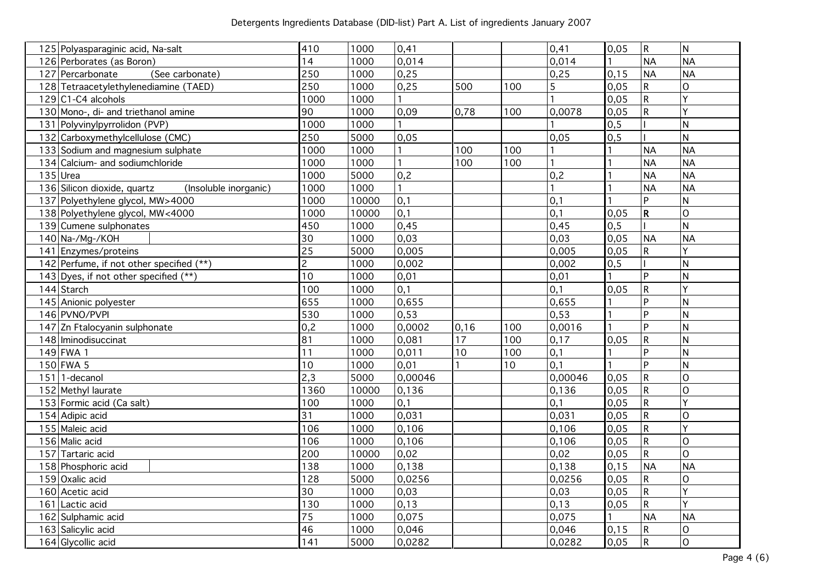| 125 Polyasparaginic acid, Na-salt                    | 410             | 1000  | 0,41         |                 |     | 0,41    | 0,05  | $\mathsf{R}$ | N                       |
|------------------------------------------------------|-----------------|-------|--------------|-----------------|-----|---------|-------|--------------|-------------------------|
| 126 Perborates (as Boron)                            | 14              | 1000  | 0,014        |                 |     | 0,014   |       | <b>NA</b>    | <b>NA</b>               |
| 127 Percarbonate<br>(See carbonate)                  | 250             | 1000  | 0,25         |                 |     | 0,25    | 0, 15 | <b>NA</b>    | <b>NA</b>               |
| 128 Tetraacetylethylenediamine (TAED)                | 250             | 1000  | 0,25         | 500             | 100 | 5       | 0,05  | R            | $\mathsf{O}$            |
| $129$ C1-C4 alcohols                                 | 1000            | 1000  |              |                 |     |         | 0,05  | $\mathsf{R}$ | Ÿ                       |
| 130 Mono-, di- and triethanol amine                  | 90              | 1000  | 0.09         | 0,78            | 100 | 0,0078  | 0,05  | $\mathsf{R}$ | Ÿ                       |
| 131 Polyvinylpyrrolidon (PVP)                        | 1000            | 1000  |              |                 |     |         | 0, 5  |              | $\mathsf{N}$            |
| 132 Carboxymethylcellulose (CMC)                     | 250             | 5000  | 0,05         |                 |     | 0,05    | 0, 5  |              | $\mathsf{N}$            |
| 133 Sodium and magnesium sulphate                    | 1000            | 1000  |              | 100             | 100 |         |       | <b>NA</b>    | <b>NA</b>               |
| 134 Calcium- and sodiumchloride                      | 1000            | 1000  |              | 100             | 100 |         |       | <b>NA</b>    | <b>NA</b>               |
| $135$ Urea                                           | 1000            | 5000  | 0,2          |                 |     | 0,2     |       | <b>NA</b>    | <b>NA</b>               |
| 136 Silicon dioxide, quartz<br>(Insoluble inorganic) | 1000            | 1000  | $\mathbf{1}$ |                 |     |         |       | <b>NA</b>    | <b>NA</b>               |
| 137 Polyethylene glycol, MW>4000                     | 1000            | 10000 | 0,1          |                 |     | 0,1     |       | <b>P</b>     | N                       |
| 138 Polyethylene glycol, MW<4000                     | 1000            | 10000 | 0,1          |                 |     | 0,1     | 0,05  | $\mathsf{R}$ | $\mathsf{O}$            |
| 139 Cumene sulphonates                               | 450             | 1000  | 0,45         |                 |     | 0,45    | 0, 5  |              | N                       |
| 140 Na-/Mg-/KOH                                      | $\overline{30}$ | 1000  | 0,03         |                 |     | 0,03    | 0,05  | <b>NA</b>    | <b>NA</b>               |
| 141 Enzymes/proteins                                 | $\overline{25}$ | 5000  | 0,005        |                 |     | 0,005   | 0,05  | $\mathsf R$  | Y                       |
| 142 Perfume, if not other specified (**)             | $\overline{c}$  | 1000  | 0,002        |                 |     | 0,002   | 0, 5  |              | $\mathsf{N}$            |
| 143 Dyes, if not other specified (**)                | 10              | 1000  | 0,01         |                 |     | 0,01    |       | Þ            | $\mathsf{N}$            |
| 144 Starch                                           | 100             | 1000  | 0,1          |                 |     | 0,1     | 0,05  | $\mathsf R$  | Y                       |
| 145 Anionic polyester                                | 655             | 1000  | 0,655        |                 |     | 0,655   |       | Þ            | ${\sf N}$               |
| 146 PVNO/PVPI                                        | 530             | 1000  | 0,53         |                 |     | 0,53    |       | Þ.           | N                       |
| 147 Zn Ftalocyanin sulphonate                        | 0,2             | 1000  | 0,0002       | 0, 16           | 100 | 0,0016  |       | <b>P</b>     | $\overline{N}$          |
| 148 Iminodisuccinat                                  | $\overline{81}$ | 1000  | 0,081        | $\overline{17}$ | 100 | 0,17    | 0,05  | ${\sf R}$    | $\overline{N}$          |
| $149$ FWA 1                                          | 11              | 1000  | 0,011        | 10              | 100 | 0,1     |       | <b>D</b>     | $\overline{\mathsf{N}}$ |
| $150$ FWA 5                                          | 10              | 1000  | 0,01         |                 | 10  | 0,1     |       | Þ            | $\overline{\mathsf{N}}$ |
| $151$   1-decanol                                    | 2,3             | 5000  | 0,00046      |                 |     | 0,00046 | 0.05  | $\mathsf{R}$ | $\overline{O}$          |
| 152 Methyl laurate                                   | 1360            | 10000 | 0,136        |                 |     | 0,136   | 0,05  | $\mathsf R$  | $\overline{O}$          |
| 153 Formic acid (Ca salt)                            | 100             | 1000  | 0,1          |                 |     | 0,1     | 0,05  | R            | Y                       |
| 154 Adipic acid                                      | 31              | 1000  | 0,031        |                 |     | 0,031   | 0,05  | $\mathsf{R}$ | $\mathsf{O}$            |
| 155 Maleic acid                                      | 106             | 1000  | 0,106        |                 |     | 0,106   | 0,05  | $\mathsf{R}$ | $\overline{Y}$          |
| 156 Malic acid                                       | 106             | 1000  | 0,106        |                 |     | 0,106   | 0,05  | ${\sf R}$    | $\overline{O}$          |
| 157 Tartaric acid                                    | 200             | 10000 | 0,02         |                 |     | 0,02    | 0,05  | $\mathsf{R}$ | $\overline{O}$          |
| 158 Phosphoric acid                                  | 138             | 1000  | 0,138        |                 |     | 0,138   | 0, 15 | <b>NA</b>    | <b>NA</b>               |
| 159 Oxalic acid                                      | 128             | 5000  | 0,0256       |                 |     | 0,0256  | 0,05  | $\mathsf{R}$ | 0                       |
| 160 Acetic acid                                      | 30              | 1000  | 0,03         |                 |     | 0,03    | 0,05  | R            | Ý                       |
| 161 Lactic acid                                      | 130             | 1000  | 0,13         |                 |     | 0,13    | 0,05  | $\mathsf R$  | Ý                       |
| 162 Sulphamic acid                                   | $\overline{75}$ | 1000  | 0,075        |                 |     | 0,075   |       | <b>NA</b>    | <b>NA</b>               |
| 163 Salicylic acid                                   | $\overline{46}$ | 1000  | 0,046        |                 |     | 0,046   | 0,15  | ${\sf R}$    | $\mathsf O$             |
| 164 Glycollic acid                                   | 141             | 5000  | 0,0282       |                 |     | 0,0282  | 0,05  | $\mathsf R$  | $\mathsf{O}$            |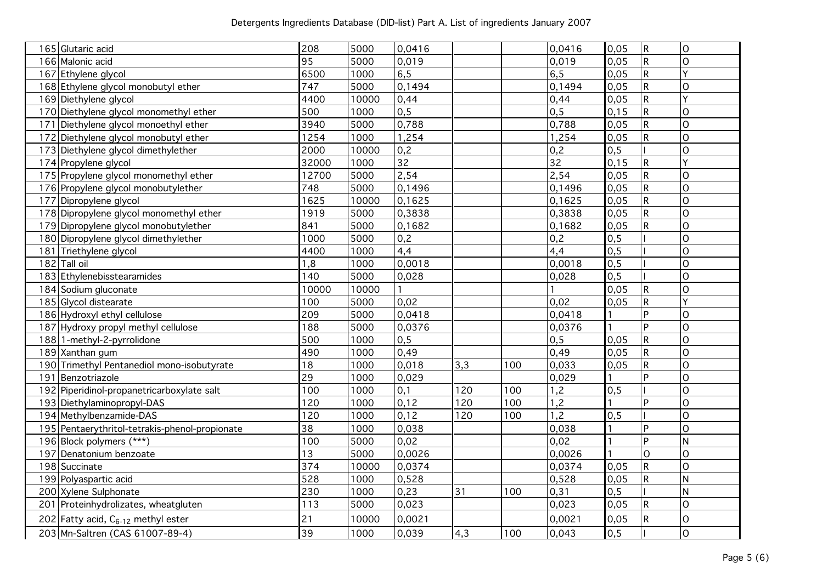| 165 Glutaric acid                              | 208             | 5000  | 0,0416          |     |     | 0,0416 | 0,05 | ${\sf R}$    | $\mathsf O$    |
|------------------------------------------------|-----------------|-------|-----------------|-----|-----|--------|------|--------------|----------------|
| 166 Malonic acid                               | $\overline{95}$ | 5000  | 0,019           |     |     | 0,019  | 0,05 | $\mathsf{R}$ | $\overline{O}$ |
| 167 Ethylene glycol                            | 6500            | 1000  | 6,5             |     |     | 6, 5   | 0,05 | $\mathsf R$  | Ý              |
| 168 Ethylene glycol monobutyl ether            | 747             | 5000  | 0,1494          |     |     | 0,1494 | 0,05 | $\mathsf R$  | $\overline{O}$ |
| 169 Diethylene glycol                          | 4400            | 10000 | 0,44            |     |     | 0,44   | 0,05 | $\mathsf R$  | Ý              |
| 170 Diethylene glycol monomethyl ether         | 500             | 1000  | 0, 5            |     |     | 0, 5   | 0,15 | $\sf R$      | $\overline{O}$ |
| 171<br>Diethylene glycol monoethyl ether       | 3940            | 5000  | 0,788           |     |     | 0,788  | 0,05 | $\mathsf R$  | 0              |
| 172 Diethylene glycol monobutyl ether          | 1254            | 1000  | 1,254           |     |     | 1,254  | 0,05 | $\sf R$      | 0              |
| 173 Diethylene glycol dimethylether            | 2000            | 10000 | 0,2             |     |     | 0,2    | 0, 5 |              | $\overline{O}$ |
| 174 Propylene glycol                           | 32000           | 1000  | $\overline{32}$ |     |     | 32     | 0,15 | R            | Ý              |
| 175 Propylene glycol monomethyl ether          | 12700           | 5000  | 2,54            |     |     | 2,54   | 0,05 | ${\sf R}$    | O              |
| 176 Propylene glycol monobutylether            | 748             | 5000  | 0,1496          |     |     | 0,1496 | 0,05 | $\mathsf{R}$ | $\overline{O}$ |
| 177 Dipropylene glycol                         | 1625            | 10000 | 0,1625          |     |     | 0,1625 | 0,05 | $\mathsf R$  | $\overline{O}$ |
| 178 Dipropylene glycol monomethyl ether        | 1919            | 5000  | 0,3838          |     |     | 0,3838 | 0,05 | $\mathsf{R}$ | $\overline{O}$ |
| 179 Dipropylene glycol monobutylether          | 841             | 5000  | 0,1682          |     |     | 0,1682 | 0,05 | $\mathsf R$  | $\overline{O}$ |
| 180 Dipropylene glycol dimethylether           | 1000            | 5000  | 0,2             |     |     | 0,2    | 0, 5 |              | O              |
| Triethylene glycol<br>181                      | 4400            | 1000  | 4,4             |     |     | 4,4    | 0, 5 |              | 0              |
| $182$ Tall oil                                 | 1,8             | 1000  | 0,0018          |     |     | 0,0018 | 0, 5 |              | $\overline{O}$ |
| 183 Ethylenebisstearamides                     | 140             | 5000  | 0,028           |     |     | 0,028  | 0, 5 |              | $\overline{O}$ |
| 184 Sodium gluconate                           | 10000           | 10000 |                 |     |     |        | 0,05 | R            | $\overline{O}$ |
| 185 Glycol distearate                          | 100             | 5000  | 0,02            |     |     | 0,02   | 0,05 | $\mathsf{R}$ | Ý              |
| 186 Hydroxyl ethyl cellulose                   | 209             | 5000  | 0,0418          |     |     | 0,0418 |      | Þ            | 0              |
| 187 Hydroxy propyl methyl cellulose            | 188             | 5000  | 0,0376          |     |     | 0,0376 |      | Þ            | $\overline{O}$ |
| 188 1-methyl-2-pyrrolidone                     | 500             | 1000  | 0,5             |     |     | 0, 5   | 0,05 | ${\sf R}$    | $\overline{O}$ |
| 189 Xanthan gum                                | 490             | 1000  | 0,49            |     |     | 0,49   | 0,05 | ${\sf R}$    | $\overline{O}$ |
| 190 Trimethyl Pentanediol mono-isobutyrate     | 18              | 1000  | 0,018           | 3,3 | 100 | 0,033  | 0,05 | $\mathsf R$  | $\overline{O}$ |
| Benzotriazole<br>191                           | 29              | 1000  | 0,029           |     |     | 0,029  |      | Þ            | 0              |
| 192 Piperidinol-propanetricarboxylate salt     | 100             | 1000  | 0,1             | 120 | 100 | 1,2    | 0, 5 |              | O              |
| 193 Diethylaminopropyl-DAS                     | 120             | 1000  | 0,12            | 120 | 100 | 1,2    |      | P            | 0              |
| 194 Methylbenzamide-DAS                        | 120             | 1000  | 0,12            | 120 | 100 | 1,2    | 0, 5 |              | 0              |
| 195 Pentaerythritol-tetrakis-phenol-propionate | $\overline{38}$ | 1000  | 0,038           |     |     | 0,038  |      | Þ            | $\overline{O}$ |
| 196 Block polymers (***)                       | 100             | 5000  | 0,02            |     |     | 0,02   |      | Þ            | N              |
| 197 Denatonium benzoate                        | $\overline{13}$ | 5000  | 0,0026          |     |     | 0,0026 |      | $\Omega$     | O              |
| 198 Succinate                                  | 374             | 10000 | 0,0374          |     |     | 0,0374 | 0,05 | $\sf R$      | $\overline{O}$ |
| 199 Polyaspartic acid                          | 528             | 1000  | 0,528           |     |     | 0,528  | 0,05 | $\mathsf R$  | $\overline{N}$ |
| 200 Xylene Sulphonate                          | 230             | 1000  | 0,23            | 31  | 100 | 0,31   | 0, 5 |              | $\mathsf{N}$   |
| 201 Proteinhydrolizates, wheatgluten           | 113             | 5000  | 0,023           |     |     | 0,023  | 0,05 | ${\sf R}$    | 0              |
| 202 Fatty acid, $C_{6-12}$ methyl ester        | 21              | 10000 | 0,0021          |     |     | 0,0021 | 0,05 | R            | 0              |
| 203 Mn-Saltren (CAS 61007-89-4)                | 39              | 1000  | 0,039           | 4,3 | 100 | 0,043  | 0, 5 |              | $\overline{O}$ |
|                                                |                 |       |                 |     |     |        |      |              |                |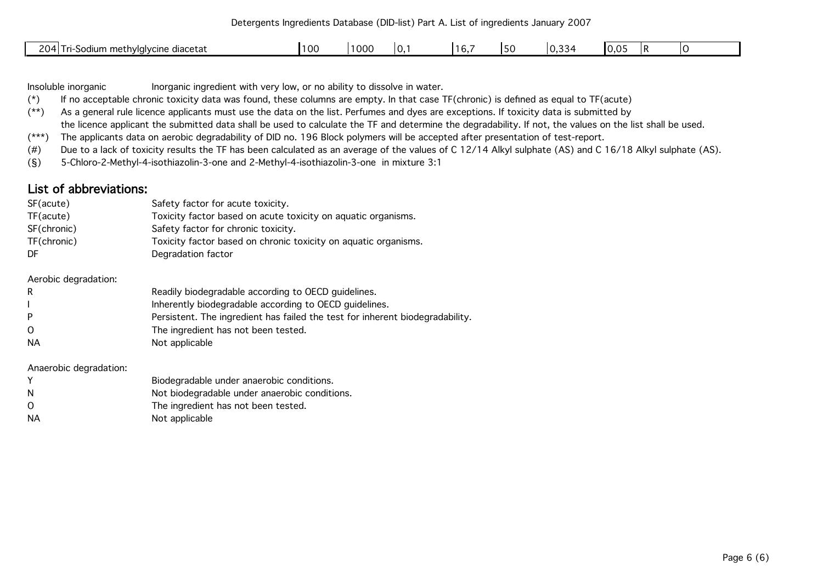Detergents Ingredients Database (DID-list) Part A. List of ingredients January 2007

| 204<br>i methylglycine diacetat<br>71-200°<br>um<br>ັ∟⊽<br>uuu | ט ש | .001<br>י טטע | v. | $ -$<br>. | JΣ | $\sim$ $\sim$<br>⌒<br>◡.◡◡ | - -<br>$\sim$<br>v.v |  |
|----------------------------------------------------------------|-----|---------------|----|-----------|----|----------------------------|----------------------|--|
|                                                                |     |               |    |           |    |                            |                      |  |

Insoluble inorganic Inorganic ingredient with very low, or no ability to dissolve in water.

(\*) If no acceptable chronic toxicity data was found, these columns are empty. In that case TF(chronic) is defined as equal to TF(acute)

(\*\*) As a general rule licence applicants must use the data on the list. Perfumes and dyes are exceptions. If toxicity data is submitted by

the licence applicant the submitted data shall be used to calculate the TF and determine the degradability. If not, the values on the list shall be used.

(\*\*\*) The applicants data on aerobic degradability of DID no. 196 Block polymers will be accepted after presentation of test-report.

(#) Due to a lack of toxicity results the TF has been calculated as an average of the values of C 12/14 Alkyl sulphate (AS) and C 16/18 Alkyl sulphate (AS).

(§) 5-Chloro-2-Methyl-4-isothiazolin-3-one and 2-Methyl-4-isothiazolin-3-one in mixture 3:1

## List of abbreviations:

| SF(acute)<br>TF(acute)<br>SF(chronic)<br>TF(chronic)<br>DF | Safety factor for acute toxicity.<br>Toxicity factor based on acute toxicity on aquatic organisms.<br>Safety factor for chronic toxicity.<br>Toxicity factor based on chronic toxicity on aquatic organisms.<br>Degradation factor |
|------------------------------------------------------------|------------------------------------------------------------------------------------------------------------------------------------------------------------------------------------------------------------------------------------|
| Aerobic degradation:                                       |                                                                                                                                                                                                                                    |
| R                                                          | Readily biodegradable according to OECD guidelines.                                                                                                                                                                                |
|                                                            | Inherently biodegradable according to OECD guidelines.                                                                                                                                                                             |
| P                                                          | Persistent. The ingredient has failed the test for inherent biodegradability.                                                                                                                                                      |
| $\Omega$                                                   | The ingredient has not been tested.                                                                                                                                                                                                |
| <b>NA</b>                                                  | Not applicable                                                                                                                                                                                                                     |
| Anaerobic degradation:                                     |                                                                                                                                                                                                                                    |

|     | Biodegradable under anaerobic conditions.     |
|-----|-----------------------------------------------|
| - N | Not biodegradable under anaerobic conditions. |
| - 0 | The ingredient has not been tested.           |
| NA  | Not applicable                                |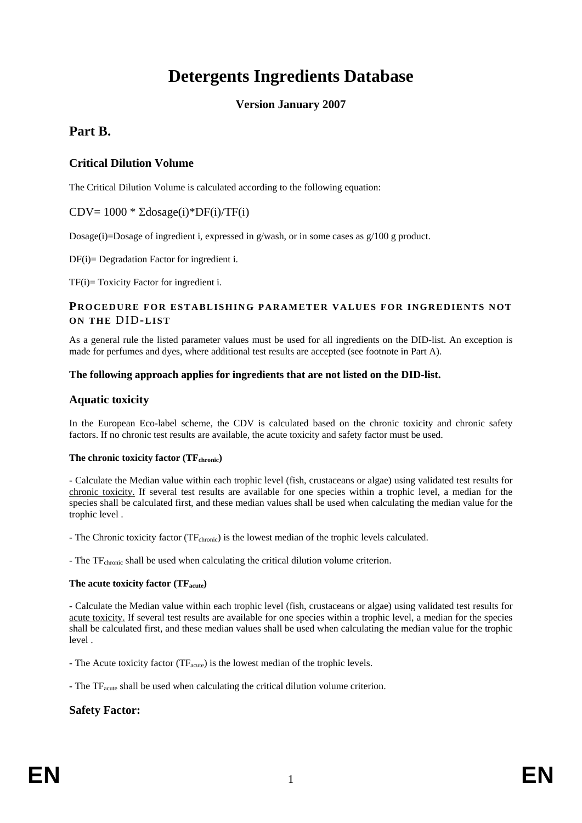## **Detergents Ingredients Database**

#### **Version January 2007**

## **Part B.**

## **Critical Dilution Volume**

The Critical Dilution Volume is calculated according to the following equation:

## CDV=  $1000 * \Sigma$ dosage(i)\*DF(i)/TF(i)

Dosage(i)=Dosage of ingredient i, expressed in g/wash, or in some cases as  $g/100$  g product.

DF(i)= Degradation Factor for ingredient i.

TF(i)= Toxicity Factor for ingredient i.

#### **PROCEDURE FOR ESTABLISHING PARAMETER VALUES FOR INGREDIENTS NOT ON THE** DID**-LIST**

As a general rule the listed parameter values must be used for all ingredients on the DID-list. An exception is made for perfumes and dyes, where additional test results are accepted (see footnote in Part A).

#### **The following approach applies for ingredients that are not listed on the DID-list.**

## **Aquatic toxicity**

In the European Eco-label scheme, the CDV is calculated based on the chronic toxicity and chronic safety factors. If no chronic test results are available, the acute toxicity and safety factor must be used.

#### The chronic toxicity factor (TF<sub>chronic</sub>)

- Calculate the Median value within each trophic level (fish, crustaceans or algae) using validated test results for chronic toxicity. If several test results are available for one species within a trophic level, a median for the species shall be calculated first, and these median values shall be used when calculating the median value for the trophic level .

- The Chronic toxicity factor (TF<sub>chronic</sub>) is the lowest median of the trophic levels calculated.

- The TF<sub>chronic</sub> shall be used when calculating the critical dilution volume criterion.

#### The acute toxicity factor (TF<sub>acute</sub>)

- Calculate the Median value within each trophic level (fish, crustaceans or algae) using validated test results for acute toxicity. If several test results are available for one species within a trophic level, a median for the species shall be calculated first, and these median values shall be used when calculating the median value for the trophic level .

- The Acute toxicity factor  $(TF<sub>acute</sub>)$  is the lowest median of the trophic levels.

- The TF<sub>acute</sub> shall be used when calculating the critical dilution volume criterion.

## **Safety Factor:**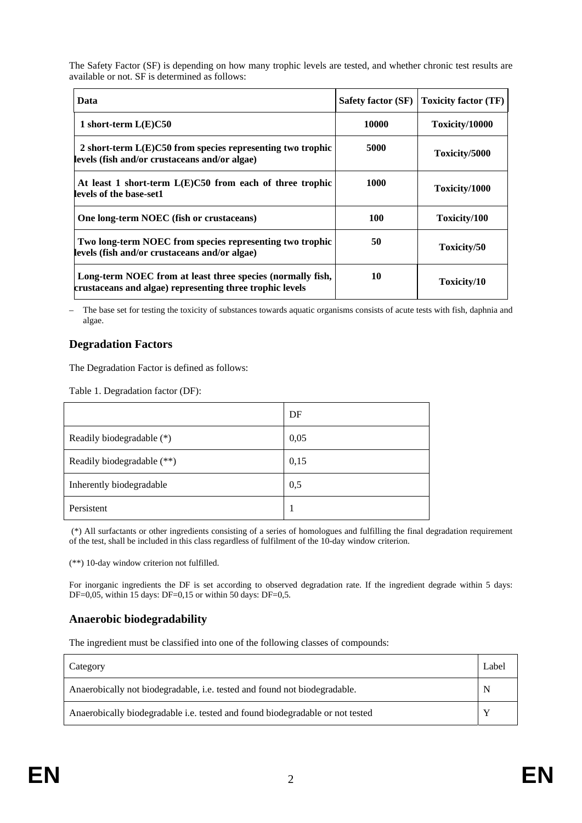The Safety Factor (SF) is depending on how many trophic levels are tested, and whether chronic test results are available or not. SF is determined as follows:

| Data                                                                                                                   | <b>Safety factor (SF)</b> | <b>Toxicity factor (TF)</b> |
|------------------------------------------------------------------------------------------------------------------------|---------------------------|-----------------------------|
| 1 short-term $L(E)C50$                                                                                                 | 10000                     | Toxicity/10000              |
| 2 short-term $L(E)C50$ from species representing two trophic<br>levels (fish and/or crustaceans and/or algae)          | 5000                      | Toxicity/5000               |
| At least 1 short-term $L(E)C50$ from each of three trophic<br>levels of the base-set1                                  | 1000                      | Toxicity/1000               |
| One long-term NOEC (fish or crustaceans)                                                                               | 100                       | Toxicity/100                |
| Two long-term NOEC from species representing two trophic<br>levels (fish and/or crustaceans and/or algae)              | 50                        | Toxicity/50                 |
| Long-term NOEC from at least three species (normally fish,<br>crustaceans and algae) representing three trophic levels | 10                        | Toxicity/10                 |

– The base set for testing the toxicity of substances towards aquatic organisms consists of acute tests with fish, daphnia and algae.

## **Degradation Factors**

The Degradation Factor is defined as follows:

Table 1. Degradation factor (DF):

|                            | DF   |
|----------------------------|------|
| Readily biodegradable (*)  | 0,05 |
| Readily biodegradable (**) | 0,15 |
| Inherently biodegradable   | 0,5  |
| Persistent                 |      |

 (\*) All surfactants or other ingredients consisting of a series of homologues and fulfilling the final degradation requirement of the test, shall be included in this class regardless of fulfilment of the 10-day window criterion.

(\*\*) 10-day window criterion not fulfilled.

For inorganic ingredients the DF is set according to observed degradation rate. If the ingredient degrade within 5 days: DF=0,05, within 15 days: DF=0,15 or within 50 days: DF=0,5.

## **Anaerobic biodegradability**

The ingredient must be classified into one of the following classes of compounds:

| Category                                                                      | Label |
|-------------------------------------------------------------------------------|-------|
| Anaerobically not biodegradable, i.e. tested and found not biodegradable.     | N     |
| Anaerobically biodegradable i.e. tested and found biodegradable or not tested |       |